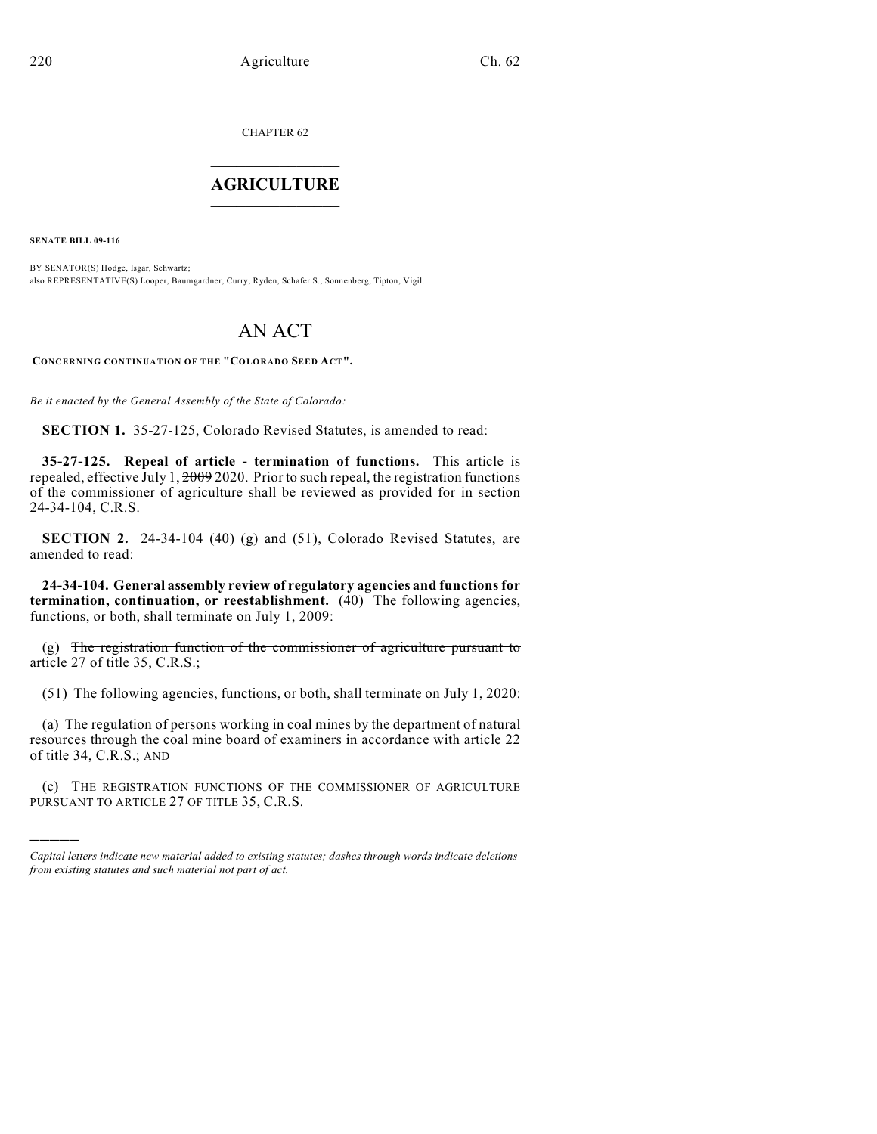CHAPTER 62  $\mathcal{L}_\text{max}$  . The set of the set of the set of the set of the set of the set of the set of the set of the set of the set of the set of the set of the set of the set of the set of the set of the set of the set of the set

## **AGRICULTURE**  $\_$   $\_$   $\_$   $\_$   $\_$   $\_$   $\_$   $\_$

**SENATE BILL 09-116**

)))))

BY SENATOR(S) Hodge, Isgar, Schwartz; also REPRESENTATIVE(S) Looper, Baumgardner, Curry, Ryden, Schafer S., Sonnenberg, Tipton, Vigil.

## AN ACT

**CONCERNING CONTINUATION OF THE "COLORADO SEED ACT".**

*Be it enacted by the General Assembly of the State of Colorado:*

**SECTION 1.** 35-27-125, Colorado Revised Statutes, is amended to read:

**35-27-125. Repeal of article - termination of functions.** This article is repealed, effective July 1,  $2009$  2020. Prior to such repeal, the registration functions of the commissioner of agriculture shall be reviewed as provided for in section 24-34-104, C.R.S.

**SECTION 2.** 24-34-104 (40) (g) and (51), Colorado Revised Statutes, are amended to read:

**24-34-104. General assembly review of regulatory agencies and functions for termination, continuation, or reestablishment.** (40) The following agencies, functions, or both, shall terminate on July 1, 2009:

(g) The registration function of the commissioner of agriculture pursuant to article 27 of title 35, C.R.S.;

(51) The following agencies, functions, or both, shall terminate on July 1, 2020:

(a) The regulation of persons working in coal mines by the department of natural resources through the coal mine board of examiners in accordance with article 22 of title 34, C.R.S.; AND

(c) THE REGISTRATION FUNCTIONS OF THE COMMISSIONER OF AGRICULTURE PURSUANT TO ARTICLE 27 OF TITLE 35, C.R.S.

*Capital letters indicate new material added to existing statutes; dashes through words indicate deletions from existing statutes and such material not part of act.*